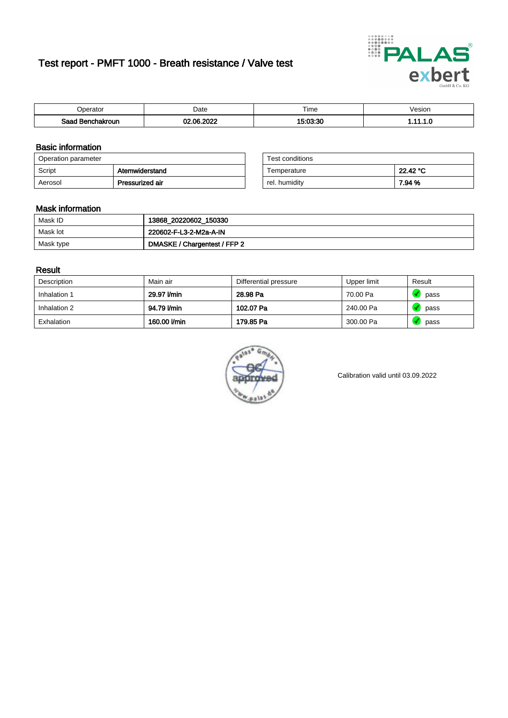# Test report - PMFT 1000 - Breath resistance / Valve test



| <b>'</b> perator                | Date                  | $- \cdot$<br><b>Time</b> | /esion |
|---------------------------------|-----------------------|--------------------------|--------|
| Saad<br><b>ìchakroun</b><br>. . | 000<br>$\overline{ }$ | <b>E-00-20</b>           | .      |

### Basic information

| Operation parameter |                 | Test conditions |          |
|---------------------|-----------------|-----------------|----------|
| Script              | Atemwiderstand  | Temperature     | 22.42 °C |
| Aerosol             | Pressurized air | rel. humidity   | 7.94 %   |

| Test conditions |          |
|-----------------|----------|
| Temperature     | 22.42 °C |
| rel. humidity   | 7.94 %   |

### Mask information

| Mask ID   | 13868_20220602_150330        |
|-----------|------------------------------|
| Mask lot  | 220602-F-L3-2-M2a-A-IN       |
| Mask type | DMASKE / Chargentest / FFP 2 |

### Result

| Description  | Main air     | Differential pressure | Upper limit | Result |
|--------------|--------------|-----------------------|-------------|--------|
| Inhalation 1 | 29.97 l/min  | 28.98 Pa              | 70.00 Pa    | pass   |
| Inhalation 2 | 94.79 l/min  | 102.07 Pa             | 240.00 Pa   | pass   |
| Exhalation   | 160.00 l/min | 179.85 Pa             | 300.00 Pa   | pass   |



Calibration valid until 03.09.2022